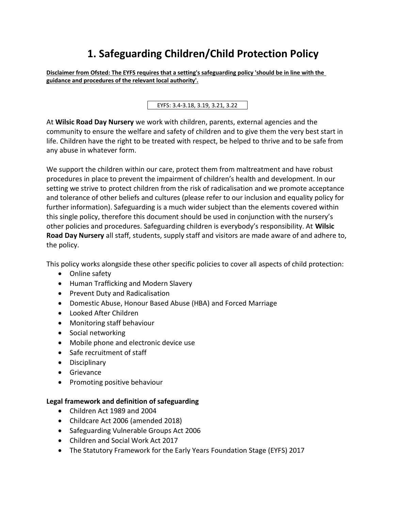# **1. Safeguarding Children/Child Protection Policy**

**Disclaimer from Ofsted: The EYFS requires that a setting's safeguarding policy 'should be in line with the guidance and procedures of the relevant local authority'.**

EYFS: 3.4-3.18, 3.19, 3.21, 3.22

At **Wilsic Road Day Nursery** we work with children, parents, external agencies and the community to ensure the welfare and safety of children and to give them the very best start in life. Children have the right to be treated with respect, be helped to thrive and to be safe from any abuse in whatever form.

We support the children within our care, protect them from maltreatment and have robust procedures in place to prevent the impairment of children's health and development. In our setting we strive to protect children from the risk of radicalisation and we promote acceptance and tolerance of other beliefs and cultures (please refer to our inclusion and equality policy for further information). Safeguarding is a much wider subject than the elements covered within this single policy, therefore this document should be used in conjunction with the nursery's other policies and procedures. Safeguarding children is everybody's responsibility. At **Wilsic Road Day Nursery** all staff, students, supply staff and visitors are made aware of and adhere to, the policy.

This policy works alongside these other specific policies to cover all aspects of child protection:

- Online safety
- Human Trafficking and Modern Slavery
- Prevent Duty and Radicalisation
- Domestic Abuse, Honour Based Abuse (HBA) and Forced Marriage
- Looked After Children
- Monitoring staff behaviour
- Social networking
- Mobile phone and electronic device use
- Safe recruitment of staff
- Disciplinary
- Grievance
- Promoting positive behaviour

#### **Legal framework and definition of safeguarding**

- Children Act 1989 and 2004
- Childcare Act 2006 (amended 2018)
- Safeguarding Vulnerable Groups Act 2006
- Children and Social Work Act 2017
- The Statutory Framework for the Early Years Foundation Stage (EYFS) 2017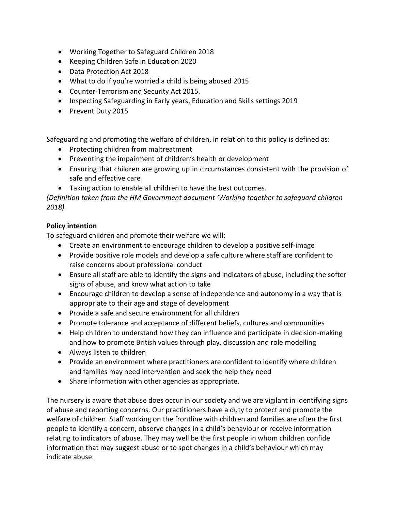- Working Together to Safeguard Children 2018
- Keeping Children Safe in Education 2020
- Data Protection Act 2018
- What to do if you're worried a child is being abused 2015
- Counter-Terrorism and Security Act 2015.
- Inspecting Safeguarding in Early years, Education and Skills settings 2019
- Prevent Duty 2015

Safeguarding and promoting the welfare of children, in relation to this policy is defined as:

- Protecting children from maltreatment
- Preventing the impairment of children's health or development
- Ensuring that children are growing up in circumstances consistent with the provision of safe and effective care
- Taking action to enable all children to have the best outcomes.

*(Definition taken from the HM Government document 'Working together to safeguard children 2018).*

## **Policy intention**

To safeguard children and promote their welfare we will:

- Create an environment to encourage children to develop a positive self-image
- Provide positive role models and develop a safe culture where staff are confident to raise concerns about professional conduct
- Ensure all staff are able to identify the signs and indicators of abuse, including the softer signs of abuse, and know what action to take
- Encourage children to develop a sense of independence and autonomy in a way that is appropriate to their age and stage of development
- Provide a safe and secure environment for all children
- Promote tolerance and acceptance of different beliefs, cultures and communities
- Help children to understand how they can influence and participate in decision-making and how to promote British values through play, discussion and role modelling
- Always listen to children
- Provide an environment where practitioners are confident to identify where children and families may need intervention and seek the help they need
- Share information with other agencies as appropriate.

The nursery is aware that abuse does occur in our society and we are vigilant in identifying signs of abuse and reporting concerns. Our practitioners have a duty to protect and promote the welfare of children. Staff working on the frontline with children and families are often the first people to identify a concern, observe changes in a child's behaviour or receive information relating to indicators of abuse. They may well be the first people in whom children confide information that may suggest abuse or to spot changes in a child's behaviour which may indicate abuse.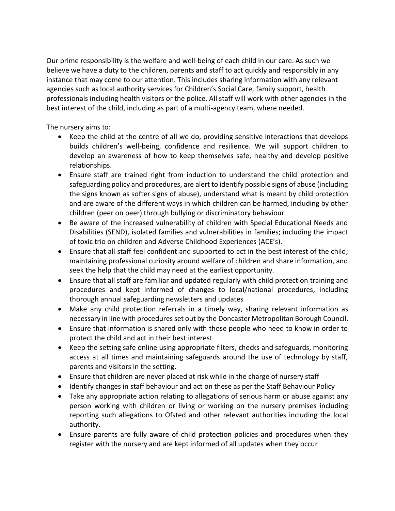Our prime responsibility is the welfare and well-being of each child in our care. As such we believe we have a duty to the children, parents and staff to act quickly and responsibly in any instance that may come to our attention. This includes sharing information with any relevant agencies such as local authority services for Children's Social Care, family support, health professionals including health visitors or the police. All staff will work with other agencies in the best interest of the child, including as part of a multi-agency team, where needed.

The nursery aims to:

- Keep the child at the centre of all we do, providing sensitive interactions that develops builds children's well-being, confidence and resilience. We will support children to develop an awareness of how to keep themselves safe, healthy and develop positive relationships.
- Ensure staff are trained right from induction to understand the child protection and safeguarding policy and procedures, are alert to identify possible signs of abuse (including the signs known as softer signs of abuse), understand what is meant by child protection and are aware of the different ways in which children can be harmed, including by other children (peer on peer) through bullying or discriminatory behaviour
- Be aware of the increased vulnerability of children with Special Educational Needs and Disabilities (SEND), isolated families and vulnerabilities in families; including the impact of toxic trio on children and Adverse Childhood Experiences (ACE's).
- Ensure that all staff feel confident and supported to act in the best interest of the child; maintaining professional curiosity around welfare of children and share information, and seek the help that the child may need at the earliest opportunity.
- Ensure that all staff are familiar and updated regularly with child protection training and procedures and kept informed of changes to local/national procedures, including thorough annual safeguarding newsletters and updates
- Make any child protection referrals in a timely way, sharing relevant information as necessary in line with procedures set out by the Doncaster Metropolitan Borough Council.
- Ensure that information is shared only with those people who need to know in order to protect the child and act in their best interest
- Keep the setting safe online using appropriate filters, checks and safeguards, monitoring access at all times and maintaining safeguards around the use of technology by staff, parents and visitors in the setting.
- Ensure that children are never placed at risk while in the charge of nursery staff
- Identify changes in staff behaviour and act on these as per the Staff Behaviour Policy
- Take any appropriate action relating to allegations of serious harm or abuse against any person working with children or living or working on the nursery premises including reporting such allegations to Ofsted and other relevant authorities including the local authority.
- Ensure parents are fully aware of child protection policies and procedures when they register with the nursery and are kept informed of all updates when they occur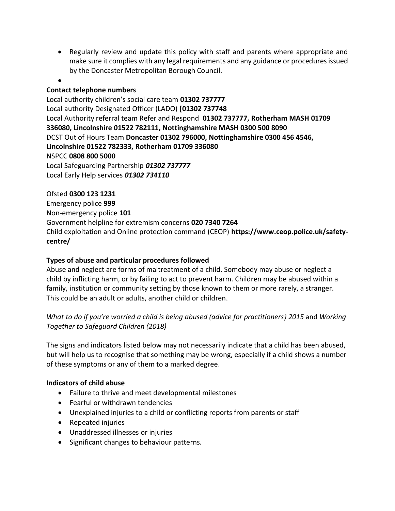• Regularly review and update this policy with staff and parents where appropriate and make sure it complies with any legal requirements and any guidance or procedures issued by the Doncaster Metropolitan Borough Council.

#### •

## **Contact telephone numbers**

Local authority children's social care team **01302 737777** Local authority Designated Officer (LADO) **[01302 737748** Local Authority referral team Refer and Respond **01302 737777, Rotherham MASH 01709 336080, Lincolnshire 01522 782111, Nottinghamshire MASH 0300 500 8090** DCST Out of Hours Team **Doncaster 01302 796000, Nottinghamshire 0300 456 4546, Lincolnshire 01522 782333, Rotherham 01709 336080** NSPCC **0808 800 5000** Local Safeguarding Partnership *01302 737777* Local Early Help services *01302 734110*

#### Ofsted **0300 123 1231**

Emergency police **999** Non-emergency police **101**  Government helpline for extremism concerns **020 7340 7264** Child exploitation and Online protection command (CEOP) **https://www.ceop.police.uk/safetycentre/**

## **Types of abuse and particular procedures followed**

Abuse and neglect are forms of maltreatment of a child. Somebody may abuse or neglect a child by inflicting harm, or by failing to act to prevent harm. Children may be abused within a family, institution or community setting by those known to them or more rarely, a stranger. This could be an adult or adults, another child or children.

# *What to do if you're worried a child is being abused (advice for practitioners) 2015* and *Working Together to Safeguard Children (2018)*

The signs and indicators listed below may not necessarily indicate that a child has been abused, but will help us to recognise that something may be wrong, especially if a child shows a number of these symptoms or any of them to a marked degree.

#### **Indicators of child abuse**

- Failure to thrive and meet developmental milestones
- Fearful or withdrawn tendencies
- Unexplained injuries to a child or conflicting reports from parents or staff
- Repeated injuries
- Unaddressed illnesses or injuries
- Significant changes to behaviour patterns.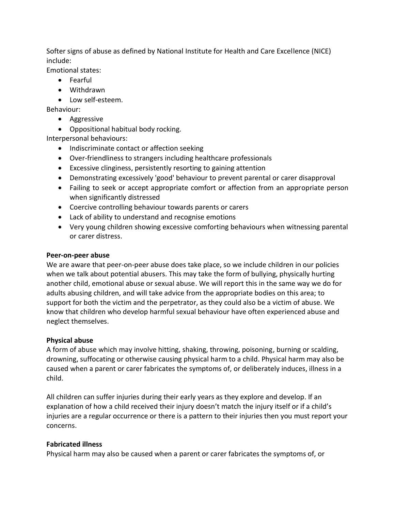Softer signs of abuse as defined by National Institute for Health and Care Excellence (NICE) include:

Emotional states:

- Fearful
- Withdrawn
- Low self-esteem.

Behaviour:

- Aggressive
- Oppositional habitual body rocking.

Interpersonal behaviours:

- Indiscriminate contact or affection seeking
- Over-friendliness to strangers including healthcare professionals
- Excessive clinginess, persistently resorting to gaining attention
- Demonstrating excessively 'good' behaviour to prevent parental or carer disapproval
- Failing to seek or accept appropriate comfort or affection from an appropriate person when significantly distressed
- Coercive controlling behaviour towards parents or carers
- Lack of ability to understand and recognise emotions
- Very young children showing excessive comforting behaviours when witnessing parental or carer distress.

#### **Peer-on-peer abuse**

We are aware that peer-on-peer abuse does take place, so we include children in our policies when we talk about potential abusers. This may take the form of bullying, physically hurting another child, emotional abuse or sexual abuse. We will report this in the same way we do for adults abusing children, and will take advice from the appropriate bodies on this area; to support for both the victim and the perpetrator, as they could also be a victim of abuse. We know that children who develop harmful sexual behaviour have often experienced abuse and neglect themselves.

#### **Physical abuse**

A form of abuse which may involve hitting, shaking, throwing, poisoning, burning or scalding, drowning, suffocating or otherwise causing physical harm to a child. Physical harm may also be caused when a parent or carer fabricates the symptoms of, or deliberately induces, illness in a child.

All children can suffer injuries during their early years as they explore and develop. If an explanation of how a child received their injury doesn't match the injury itself or if a child's injuries are a regular occurrence or there is a pattern to their injuries then you must report your concerns.

#### **Fabricated illness**

Physical harm may also be caused when a parent or carer fabricates the symptoms of, or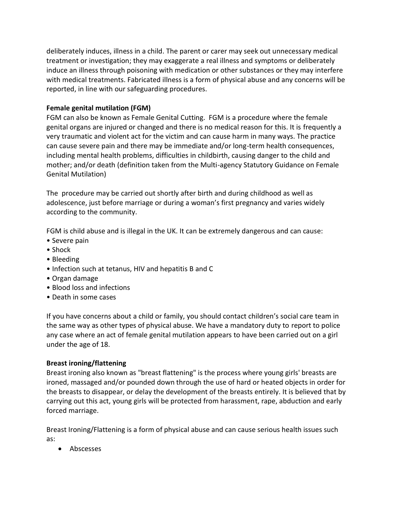deliberately induces, illness in a child. The parent or carer may seek out unnecessary medical treatment or investigation; they may exaggerate a real illness and symptoms or deliberately induce an illness through poisoning with medication or other substances or they may interfere with medical treatments. Fabricated illness is a form of physical abuse and any concerns will be reported, in line with our safeguarding procedures.

## **Female genital mutilation (FGM)**

FGM can also be known as Female Genital Cutting. FGM is a procedure where the female genital organs are injured or changed and there is no medical reason for this. It is frequently a very traumatic and violent act for the victim and can cause harm in many ways. The practice can cause severe pain and there may be immediate and/or long-term health consequences, including mental health problems, difficulties in childbirth, causing danger to the child and mother; and/or death (definition taken from the Multi-agency Statutory Guidance on Female Genital Mutilation)

The procedure may be carried out shortly after birth and during childhood as well as adolescence, just before marriage or during a woman's first pregnancy and varies widely according to the community.

FGM is child abuse and is illegal in the UK. It can be extremely dangerous and can cause:

- Severe pain
- Shock
- Bleeding
- Infection such at tetanus, HIV and hepatitis B and C
- Organ damage
- Blood loss and infections
- Death in some cases

If you have concerns about a child or family, you should contact children's social care team in the same way as other types of physical abuse. We have a mandatory duty to report to police any case where an act of female genital mutilation appears to have been carried out on a girl under the age of 18.

## **Breast ironing/flattening**

Breast ironing also known as "breast flattening" is the process where young girls' breasts are ironed, massaged and/or pounded down through the use of hard or heated objects in order for the breasts to disappear, or delay the development of the breasts entirely. It is believed that by carrying out this act, young girls will be protected from harassment, rape, abduction and early forced marriage.

Breast Ironing/Flattening is a form of physical abuse and can cause serious health issues such as:

• Abscesses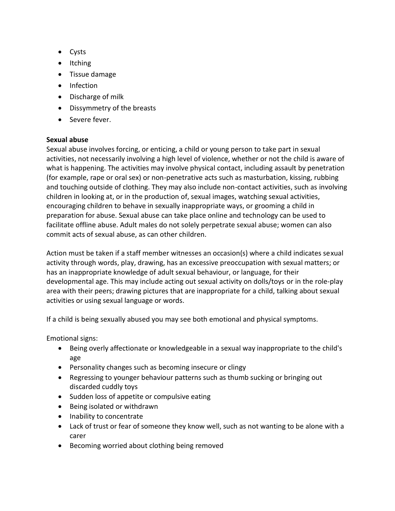- Cysts
- Itching
- Tissue damage
- Infection
- Discharge of milk
- Dissymmetry of the breasts
- Severe fever.

## **Sexual abuse**

Sexual abuse involves forcing, or enticing, a child or young person to take part in sexual activities, not necessarily involving a high level of violence, whether or not the child is aware of what is happening. The activities may involve physical contact, including assault by penetration (for example, rape or oral sex) or non-penetrative acts such as masturbation, kissing, rubbing and touching outside of clothing. They may also include non-contact activities, such as involving children in looking at, or in the production of, sexual images, watching sexual activities, encouraging children to behave in sexually inappropriate ways, or grooming a child in preparation for abuse. Sexual abuse can take place online and technology can be used to facilitate offline abuse. Adult males do not solely perpetrate sexual abuse; women can also commit acts of sexual abuse, as can other children.

Action must be taken if a staff member witnesses an occasion(s) where a child indicates sexual activity through words, play, drawing, has an excessive preoccupation with sexual matters; or has an inappropriate knowledge of adult sexual behaviour, or language, for their developmental age. This may include acting out sexual activity on dolls/toys or in the role-play area with their peers; drawing pictures that are inappropriate for a child, talking about sexual activities or using sexual language or words.

If a child is being sexually abused you may see both emotional and physical symptoms.

Emotional signs:

- Being overly affectionate or knowledgeable in a sexual way inappropriate to the child's age
- Personality changes such as becoming insecure or clingy
- Regressing to younger behaviour patterns such as thumb sucking or bringing out discarded cuddly toys
- Sudden loss of appetite or compulsive eating
- Being isolated or withdrawn
- Inability to concentrate
- Lack of trust or fear of someone they know well, such as not wanting to be alone with a carer
- Becoming worried about clothing being removed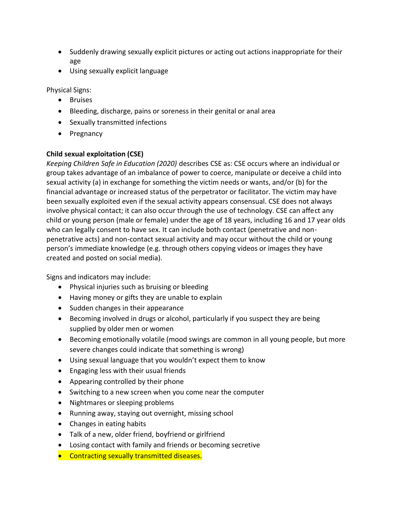- Suddenly drawing sexually explicit pictures or acting out actions inappropriate for their age
- Using sexually explicit language

Physical Signs:

- Bruises
- Bleeding, discharge, pains or soreness in their genital or anal area
- Sexually transmitted infections
- Pregnancy

# **Child sexual exploitation (CSE)**

*Keeping Children Safe in Education (2020)* describes CSE as: CSE occurs where an individual or group takes advantage of an imbalance of power to coerce, manipulate or deceive a child into sexual activity (a) in exchange for something the victim needs or wants, and/or (b) for the financial advantage or increased status of the perpetrator or facilitator. The victim may have been sexually exploited even if the sexual activity appears consensual. CSE does not always involve physical contact; it can also occur through the use of technology. CSE can affect any child or young person (male or female) under the age of 18 years, including 16 and 17 year olds who can legally consent to have sex. It can include both contact (penetrative and nonpenetrative acts) and non-contact sexual activity and may occur without the child or young person's immediate knowledge (e.g. through others copying videos or images they have created and posted on social media).

Signs and indicators may include:

- Physical injuries such as bruising or bleeding
- Having money or gifts they are unable to explain
- Sudden changes in their appearance
- Becoming involved in drugs or alcohol, particularly if you suspect they are being supplied by older men or women
- Becoming emotionally volatile (mood swings are common in all young people, but more severe changes could indicate that something is wrong)
- Using sexual language that you wouldn't expect them to know
- Engaging less with their usual friends
- Appearing controlled by their phone
- Switching to a new screen when you come near the computer
- Nightmares or sleeping problems
- Running away, staying out overnight, missing school
- Changes in eating habits
- Talk of a new, older friend, boyfriend or girlfriend
- Losing contact with family and friends or becoming secretive
- Contracting sexually transmitted diseases.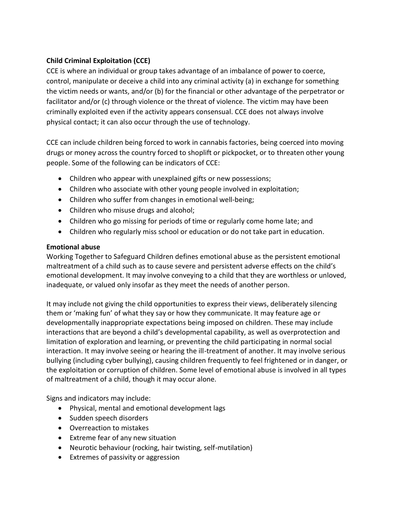# **Child Criminal Exploitation (CCE)**

CCE is where an individual or group takes advantage of an imbalance of power to coerce, control, manipulate or deceive a child into any criminal activity (a) in exchange for something the victim needs or wants, and/or (b) for the financial or other advantage of the perpetrator or facilitator and/or (c) through violence or the threat of violence. The victim may have been criminally exploited even if the activity appears consensual. CCE does not always involve physical contact; it can also occur through the use of technology.

CCE can include children being forced to work in cannabis factories, being coerced into moving drugs or money across the country forced to shoplift or pickpocket, or to threaten other young people. Some of the following can be indicators of CCE:

- Children who appear with unexplained gifts or new possessions;
- Children who associate with other young people involved in exploitation;
- Children who suffer from changes in emotional well-being;
- Children who misuse drugs and alcohol;
- Children who go missing for periods of time or regularly come home late; and
- Children who regularly miss school or education or do not take part in education.

## **Emotional abuse**

Working Together to Safeguard Children defines emotional abuse as the persistent emotional maltreatment of a child such as to cause severe and persistent adverse effects on the child's emotional development. It may involve conveying to a child that they are worthless or unloved, inadequate, or valued only insofar as they meet the needs of another person.

It may include not giving the child opportunities to express their views, deliberately silencing them or 'making fun' of what they say or how they communicate. It may feature age or developmentally inappropriate expectations being imposed on children. These may include interactions that are beyond a child's developmental capability, as well as overprotection and limitation of exploration and learning, or preventing the child participating in normal social interaction. It may involve seeing or hearing the ill-treatment of another. It may involve serious bullying (including cyber bullying), causing children frequently to feel frightened or in danger, or the exploitation or corruption of children. Some level of emotional abuse is involved in all types of maltreatment of a child, though it may occur alone.

Signs and indicators may include:

- Physical, mental and emotional development lags
- Sudden speech disorders
- Overreaction to mistakes
- Extreme fear of any new situation
- Neurotic behaviour (rocking, hair twisting, self-mutilation)
- Extremes of passivity or aggression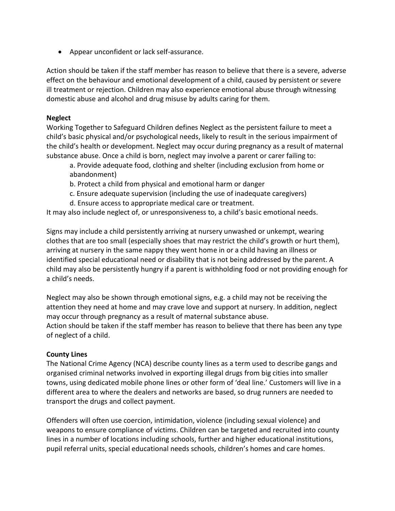• Appear unconfident or lack self-assurance.

Action should be taken if the staff member has reason to believe that there is a severe, adverse effect on the behaviour and emotional development of a child, caused by persistent or severe ill treatment or rejection. Children may also experience emotional abuse through witnessing domestic abuse and alcohol and drug misuse by adults caring for them.

## **Neglect**

Working Together to Safeguard Children defines Neglect as the persistent failure to meet a child's basic physical and/or psychological needs, likely to result in the serious impairment of the child's health or development. Neglect may occur during pregnancy as a result of maternal substance abuse. Once a child is born, neglect may involve a parent or carer failing to:

- a. Provide adequate food, clothing and shelter (including exclusion from home or abandonment)
- b. Protect a child from physical and emotional harm or danger
- c. Ensure adequate supervision (including the use of inadequate caregivers)
- d. Ensure access to appropriate medical care or treatment.

It may also include neglect of, or unresponsiveness to, a child's basic emotional needs.

Signs may include a child persistently arriving at nursery unwashed or unkempt, wearing clothes that are too small (especially shoes that may restrict the child's growth or hurt them), arriving at nursery in the same nappy they went home in or a child having an illness or identified special educational need or disability that is not being addressed by the parent. A child may also be persistently hungry if a parent is withholding food or not providing enough for a child's needs.

Neglect may also be shown through emotional signs, e.g. a child may not be receiving the attention they need at home and may crave love and support at nursery. In addition, neglect may occur through pregnancy as a result of maternal substance abuse. Action should be taken if the staff member has reason to believe that there has been any type of neglect of a child.

## **County Lines**

The National Crime Agency (NCA) describe county lines as a term used to describe gangs and organised criminal networks involved in exporting illegal drugs from big cities into smaller towns, using dedicated mobile phone lines or other form of 'deal line.' Customers will live in a different area to where the dealers and networks are based, so drug runners are needed to transport the drugs and collect payment.

Offenders will often use coercion, intimidation, violence (including sexual violence) and weapons to ensure compliance of victims. Children can be targeted and recruited into county lines in a number of locations including schools, further and higher educational institutions, pupil referral units, special educational needs schools, children's homes and care homes.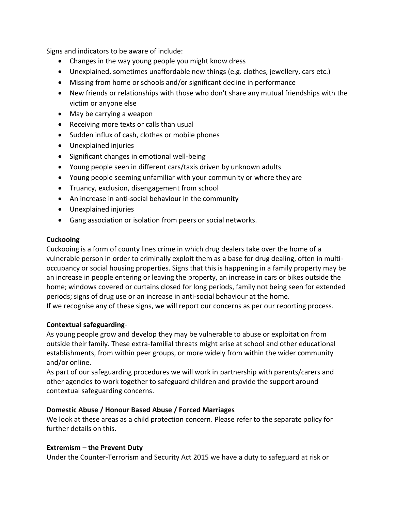Signs and indicators to be aware of include:

- Changes in the way young people you might know dress
- Unexplained, sometimes unaffordable new things (e.g. clothes, jewellery, cars etc.)
- Missing from home or schools and/or significant decline in performance
- New friends or relationships with those who don't share any mutual friendships with the victim or anyone else
- May be carrying a weapon
- Receiving more texts or calls than usual
- Sudden influx of cash, clothes or mobile phones
- Unexplained injuries
- Significant changes in emotional well-being
- Young people seen in different cars/taxis driven by unknown adults
- Young people seeming unfamiliar with your community or where they are
- Truancy, exclusion, disengagement from school
- An increase in anti-social behaviour in the community
- Unexplained injuries
- Gang association or isolation from peers or social networks.

## **Cuckooing**

Cuckooing is a form of county lines crime in which drug dealers take over the home of a vulnerable person in order to criminally exploit them as a base for drug dealing, often in multioccupancy or social housing properties. Signs that this is happening in a family property may be an increase in people entering or leaving the property, an increase in cars or bikes outside the home; windows covered or curtains closed for long periods, family not being seen for extended periods; signs of drug use or an increase in anti-social behaviour at the home.

If we recognise any of these signs, we will report our concerns as per our reporting process.

## **Contextual safeguarding**-

As young people grow and develop they may be vulnerable to abuse or exploitation from outside their family. These extra-familial threats might arise at school and other educational establishments, from within peer groups, or more widely from within the wider community and/or online.

As part of our safeguarding procedures we will work in partnership with parents/carers and other agencies to work together to safeguard children and provide the support around contextual safeguarding concerns.

## **Domestic Abuse / Honour Based Abuse / Forced Marriages**

We look at these areas as a child protection concern. Please refer to the separate policy for further details on this.

#### **Extremism – the Prevent Duty**

Under the Counter-Terrorism and Security Act 2015 we have a duty to safeguard at risk or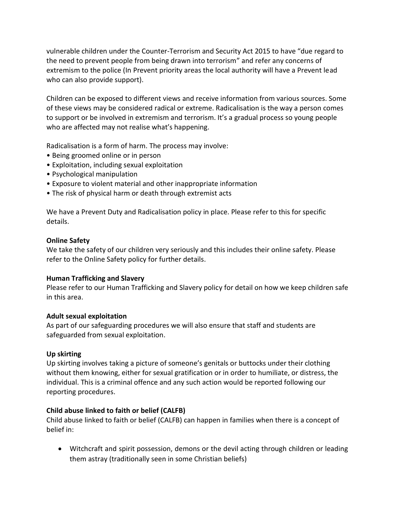vulnerable children under the Counter-Terrorism and Security Act 2015 to have "due regard to the need to prevent people from being drawn into terrorism" and refer any concerns of extremism to the police (In Prevent priority areas the local authority will have a Prevent lead who can also provide support).

Children can be exposed to different views and receive information from various sources. Some of these views may be considered radical or extreme. Radicalisation is the way a person comes to support or be involved in extremism and terrorism. It's a gradual process so young people who are affected may not realise what's happening.

Radicalisation is a form of harm. The process may involve:

- Being groomed online or in person
- Exploitation, including sexual exploitation
- Psychological manipulation
- Exposure to violent material and other inappropriate information
- The risk of physical harm or death through extremist acts

We have a Prevent Duty and Radicalisation policy in place. Please refer to this for specific details.

#### **Online Safety**

We take the safety of our children very seriously and this includes their online safety. Please refer to the Online Safety policy for further details.

#### **Human Trafficking and Slavery**

Please refer to our Human Trafficking and Slavery policy for detail on how we keep children safe in this area.

#### **Adult sexual exploitation**

As part of our safeguarding procedures we will also ensure that staff and students are safeguarded from sexual exploitation.

#### **Up skirting**

Up skirting involves taking a picture of someone's genitals or buttocks under their clothing without them knowing, either for sexual gratification or in order to humiliate, or distress, the individual. This is a criminal offence and any such action would be reported following our reporting procedures.

#### **Child abuse linked to faith or belief (CALFB)**

Child abuse linked to faith or belief (CALFB) can happen in families when there is a concept of belief in:

• Witchcraft and spirit possession, demons or the devil acting through children or leading them astray (traditionally seen in some Christian beliefs)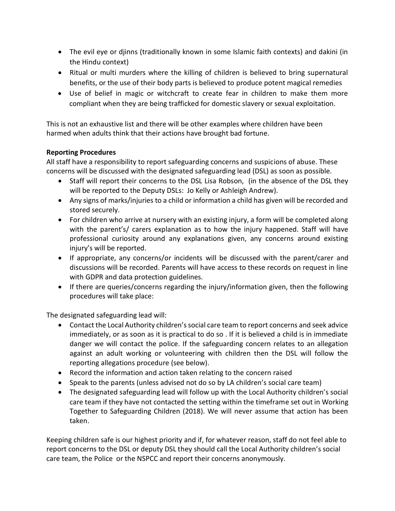- The evil eye or djinns (traditionally known in some Islamic faith contexts) and dakini (in the Hindu context)
- Ritual or multi murders where the killing of children is believed to bring supernatural benefits, or the use of their body parts is believed to produce potent magical remedies
- Use of belief in magic or witchcraft to create fear in children to make them more compliant when they are being trafficked for domestic slavery or sexual exploitation.

This is not an exhaustive list and there will be other examples where children have been harmed when adults think that their actions have brought bad fortune.

## **Reporting Procedures**

All staff have a responsibility to report safeguarding concerns and suspicions of abuse. These concerns will be discussed with the designated safeguarding lead (DSL) as soon as possible.

- Staff will report their concerns to the DSL Lisa Robson, (in the absence of the DSL they will be reported to the Deputy DSLs: Jo Kelly or Ashleigh Andrew).
- Any signs of marks/injuries to a child or information a child has given will be recorded and stored securely.
- For children who arrive at nursery with an existing injury, a form will be completed along with the parent's/ carers explanation as to how the injury happened. Staff will have professional curiosity around any explanations given, any concerns around existing injury's will be reported.
- If appropriate, any concerns/or incidents will be discussed with the parent/carer and discussions will be recorded. Parents will have access to these records on request in line with GDPR and data protection guidelines.
- If there are queries/concerns regarding the injury/information given, then the following procedures will take place:

The designated safeguarding lead will:

- Contact the Local Authority children's social care team to report concerns and seek advice immediately, or as soon as it is practical to do so . If it is believed a child is in immediate danger we will contact the police. If the safeguarding concern relates to an allegation against an adult working or volunteering with children then the DSL will follow the reporting allegations procedure (see below).
- Record the information and action taken relating to the concern raised
- Speak to the parents (unless advised not do so by LA children's social care team)
- The designated safeguarding lead will follow up with the Local Authority children's social care team if they have not contacted the setting within the timeframe set out in Working Together to Safeguarding Children (2018). We will never assume that action has been taken.

Keeping children safe is our highest priority and if, for whatever reason, staff do not feel able to report concerns to the DSL or deputy DSL they should call the Local Authority children's social care team, the Police or the NSPCC and report their concerns anonymously.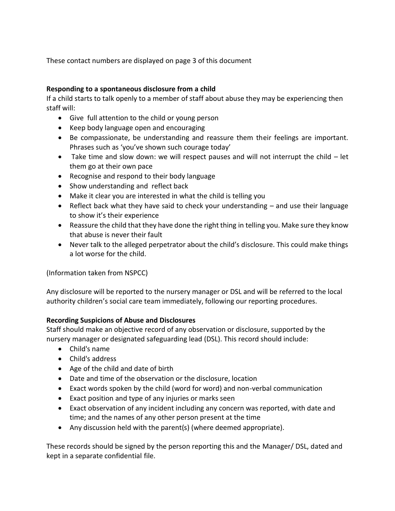These contact numbers are displayed on page 3 of this document

# **Responding to a spontaneous disclosure from a child**

If a child starts to talk openly to a member of staff about abuse they may be experiencing then staff will:

- Give full attention to the child or young person
- Keep body language open and encouraging
- Be compassionate, be understanding and reassure them their feelings are important. Phrases such as 'you've shown such courage today'
- Take time and slow down: we will respect pauses and will not interrupt the child let them go at their own pace
- Recognise and respond to their body language
- Show understanding and reflect back
- Make it clear you are interested in what the child is telling you
- Reflect back what they have said to check your understanding and use their language to show it's their experience
- Reassure the child that they have done the right thing in telling you. Make sure they know that abuse is never their fault
- Never talk to the alleged perpetrator about the child's disclosure. This could make things a lot worse for the child.

(Information taken from NSPCC)

Any disclosure will be reported to the nursery manager or DSL and will be referred to the local authority children's social care team immediately, following our reporting procedures.

## **Recording Suspicions of Abuse and Disclosures**

Staff should make an objective record of any observation or disclosure, supported by the nursery manager or designated safeguarding lead (DSL). This record should include:

- Child's name
- Child's address
- Age of the child and date of birth
- Date and time of the observation or the disclosure, location
- Exact words spoken by the child (word for word) and non-verbal communication
- Exact position and type of any injuries or marks seen
- Exact observation of any incident including any concern was reported, with date and time; and the names of any other person present at the time
- Any discussion held with the parent(s) (where deemed appropriate).

These records should be signed by the person reporting this and the Manager/ DSL, dated and kept in a separate confidential file.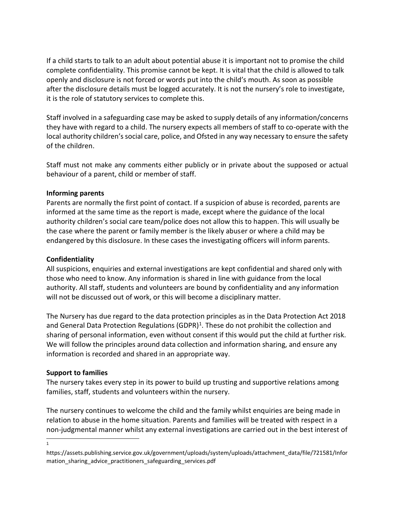If a child starts to talk to an adult about potential abuse it is important not to promise the child complete confidentiality. This promise cannot be kept. It is vital that the child is allowed to talk openly and disclosure is not forced or words put into the child's mouth. As soon as possible after the disclosure details must be logged accurately. It is not the nursery's role to investigate, it is the role of statutory services to complete this.

Staff involved in a safeguarding case may be asked to supply details of any information/concerns they have with regard to a child. The nursery expects all members of staff to co-operate with the local authority children's social care, police, and Ofsted in any way necessary to ensure the safety of the children.

Staff must not make any comments either publicly or in private about the supposed or actual behaviour of a parent, child or member of staff.

## **Informing parents**

Parents are normally the first point of contact. If a suspicion of abuse is recorded, parents are informed at the same time as the report is made, except where the guidance of the local authority children's social care team/police does not allow this to happen. This will usually be the case where the parent or family member is the likely abuser or where a child may be endangered by this disclosure. In these cases the investigating officers will inform parents.

## **Confidentiality**

All suspicions, enquiries and external investigations are kept confidential and shared only with those who need to know. Any information is shared in line with guidance from the local authority. All staff, students and volunteers are bound by confidentiality and any information will not be discussed out of work, or this will become a disciplinary matter.

The Nursery has due regard to the data protection principles as in the Data Protection Act 2018 and General Data Protection Regulations (GDPR)<sup>1</sup>. These do not prohibit the collection and sharing of personal information, even without consent if this would put the child at further risk. We will follow the principles around data collection and information sharing, and ensure any information is recorded and shared in an appropriate way.

#### **Support to families**

The nursery takes every step in its power to build up trusting and supportive relations among families, staff, students and volunteers within the nursery.

The nursery continues to welcome the child and the family whilst enquiries are being made in relation to abuse in the home situation. Parents and families will be treated with respect in a non-judgmental manner whilst any external investigations are carried out in the best interest of

1

https://assets.publishing.service.gov.uk/government/uploads/system/uploads/attachment\_data/file/721581/Infor mation\_sharing\_advice\_practitioners\_safeguarding\_services.pdf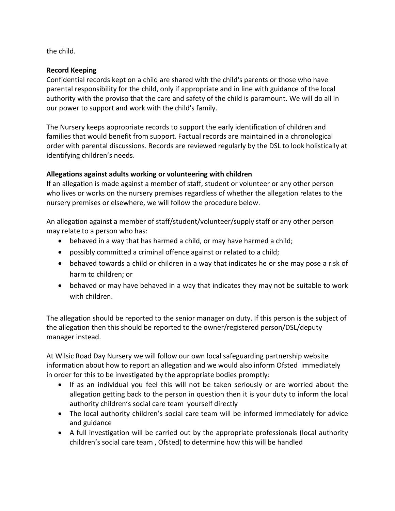the child.

## **Record Keeping**

Confidential records kept on a child are shared with the child's parents or those who have parental responsibility for the child, only if appropriate and in line with guidance of the local authority with the proviso that the care and safety of the child is paramount. We will do all in our power to support and work with the child's family.

The Nursery keeps appropriate records to support the early identification of children and families that would benefit from support. Factual records are maintained in a chronological order with parental discussions. Records are reviewed regularly by the DSL to look holistically at identifying children's needs.

## **Allegations against adults working or volunteering with children**

If an allegation is made against a member of staff, student or volunteer or any other person who lives or works on the nursery premises regardless of whether the allegation relates to the nursery premises or elsewhere, we will follow the procedure below.

An allegation against a member of staff/student/volunteer/supply staff or any other person may relate to a person who has:

- behaved in a way that has harmed a child, or may have harmed a child;
- possibly committed a criminal offence against or related to a child;
- behaved towards a child or children in a way that indicates he or she may pose a risk of harm to children; or
- behaved or may have behaved in a way that indicates they may not be suitable to work with children.

The allegation should be reported to the senior manager on duty. If this person is the subject of the allegation then this should be reported to the owner/registered person/DSL/deputy manager instead.

At Wilsic Road Day Nursery we will follow our own local safeguarding partnership website information about how to report an allegation and we would also inform Ofsted immediately in order for this to be investigated by the appropriate bodies promptly:

- If as an individual you feel this will not be taken seriously or are worried about the allegation getting back to the person in question then it is your duty to inform the local authority children's social care team yourself directly
- The local authority children's social care team will be informed immediately for advice and guidance
- A full investigation will be carried out by the appropriate professionals (local authority children's social care team , Ofsted) to determine how this will be handled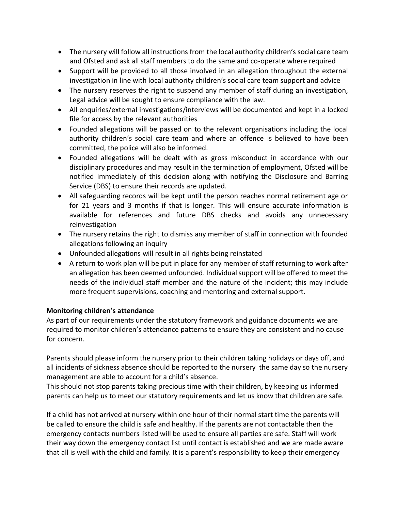- The nursery will follow all instructions from the local authority children's social care team and Ofsted and ask all staff members to do the same and co-operate where required
- Support will be provided to all those involved in an allegation throughout the external investigation in line with local authority children's social care team support and advice
- The nursery reserves the right to suspend any member of staff during an investigation, Legal advice will be sought to ensure compliance with the law.
- All enquiries/external investigations/interviews will be documented and kept in a locked file for access by the relevant authorities
- Founded allegations will be passed on to the relevant organisations including the local authority children's social care team and where an offence is believed to have been committed, the police will also be informed.
- Founded allegations will be dealt with as gross misconduct in accordance with our disciplinary procedures and may result in the termination of employment, Ofsted will be notified immediately of this decision along with notifying the Disclosure and Barring Service (DBS) to ensure their records are updated.
- All safeguarding records will be kept until the person reaches normal retirement age or for 21 years and 3 months if that is longer. This will ensure accurate information is available for references and future DBS checks and avoids any unnecessary reinvestigation
- The nursery retains the right to dismiss any member of staff in connection with founded allegations following an inquiry
- Unfounded allegations will result in all rights being reinstated
- A return to work plan will be put in place for any member of staff returning to work after an allegation has been deemed unfounded. Individual support will be offered to meet the needs of the individual staff member and the nature of the incident; this may include more frequent supervisions, coaching and mentoring and external support.

## **Monitoring children's attendance**

As part of our requirements under the statutory framework and guidance documents we are required to monitor children's attendance patterns to ensure they are consistent and no cause for concern.

Parents should please inform the nursery prior to their children taking holidays or days off, and all incidents of sickness absence should be reported to the nursery the same day so the nursery management are able to account for a child's absence.

This should not stop parents taking precious time with their children, by keeping us informed parents can help us to meet our statutory requirements and let us know that children are safe.

If a child has not arrived at nursery within one hour of their normal start time the parents will be called to ensure the child is safe and healthy. If the parents are not contactable then the emergency contacts numbers listed will be used to ensure all parties are safe. Staff will work their way down the emergency contact list until contact is established and we are made aware that all is well with the child and family. It is a parent's responsibility to keep their emergency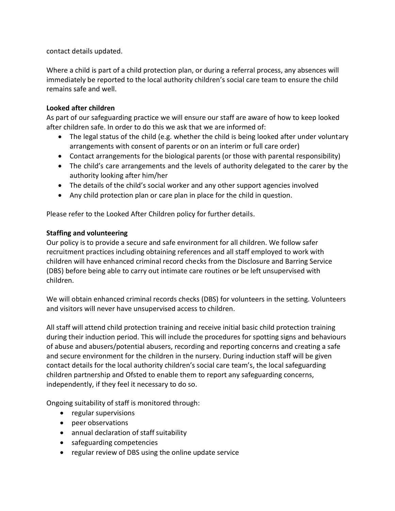contact details updated.

Where a child is part of a child protection plan, or during a referral process, any absences will immediately be reported to the local authority children's social care team to ensure the child remains safe and well.

## **Looked after children**

As part of our safeguarding practice we will ensure our staff are aware of how to keep looked after children safe. In order to do this we ask that we are informed of:

- The legal status of the child (e.g. whether the child is being looked after under voluntary arrangements with consent of parents or on an interim or full care order)
- Contact arrangements for the biological parents (or those with parental responsibility)
- The child's care arrangements and the levels of authority delegated to the carer by the authority looking after him/her
- The details of the child's social worker and any other support agencies involved
- Any child protection plan or care plan in place for the child in question.

Please refer to the Looked After Children policy for further details.

## **Staffing and volunteering**

Our policy is to provide a secure and safe environment for all children. We follow safer recruitment practices including obtaining references and all staff employed to work with children will have enhanced criminal record checks from the Disclosure and Barring Service (DBS) before being able to carry out intimate care routines or be left unsupervised with children.

We will obtain enhanced criminal records checks (DBS) for volunteers in the setting. Volunteers and visitors will never have unsupervised access to children.

All staff will attend child protection training and receive initial basic child protection training during their induction period. This will include the procedures for spotting signs and behaviours of abuse and abusers/potential abusers, recording and reporting concerns and creating a safe and secure environment for the children in the nursery. During induction staff will be given contact details for the local authority children's social care team's, the local safeguarding children partnership and Ofsted to enable them to report any safeguarding concerns, independently, if they feel it necessary to do so.

Ongoing suitability of staff is monitored through:

- regular supervisions
- peer observations
- annual declaration of staff suitability
- safeguarding competencies
- regular review of DBS using the online update service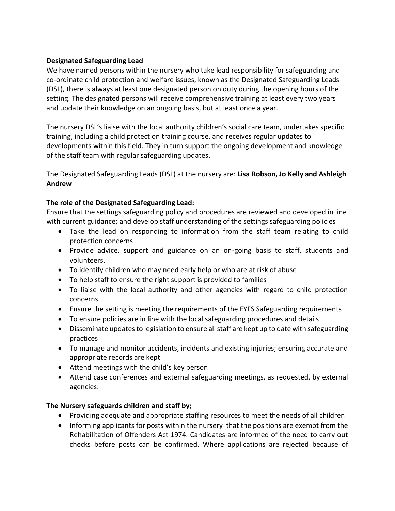## **Designated Safeguarding Lead**

We have named persons within the nursery who take lead responsibility for safeguarding and co-ordinate child protection and welfare issues, known as the Designated Safeguarding Leads (DSL), there is always at least one designated person on duty during the opening hours of the setting. The designated persons will receive comprehensive training at least every two years and update their knowledge on an ongoing basis, but at least once a year.

The nursery DSL's liaise with the local authority children's social care team, undertakes specific training, including a child protection training course, and receives regular updates to developments within this field. They in turn support the ongoing development and knowledge of the staff team with regular safeguarding updates.

The Designated Safeguarding Leads (DSL) at the nursery are: **Lisa Robson, Jo Kelly and Ashleigh Andrew**

## **The role of the Designated Safeguarding Lead:**

Ensure that the settings safeguarding policy and procedures are reviewed and developed in line with current guidance; and develop staff understanding of the settings safeguarding policies

- Take the lead on responding to information from the staff team relating to child protection concerns
- Provide advice, support and guidance on an on-going basis to staff, students and volunteers.
- To identify children who may need early help or who are at risk of abuse
- To help staff to ensure the right support is provided to families
- To liaise with the local authority and other agencies with regard to child protection concerns
- Ensure the setting is meeting the requirements of the EYFS Safeguarding requirements
- To ensure policies are in line with the local safeguarding procedures and details
- Disseminate updates to legislation to ensure all staff are kept up to date with safeguarding practices
- To manage and monitor accidents, incidents and existing injuries; ensuring accurate and appropriate records are kept
- Attend meetings with the child's key person
- Attend case conferences and external safeguarding meetings, as requested, by external agencies.

## **The Nursery safeguards children and staff by;**

- Providing adequate and appropriate staffing resources to meet the needs of all children
- Informing applicants for posts within the nursery that the positions are exempt from the Rehabilitation of Offenders Act 1974. Candidates are informed of the need to carry out checks before posts can be confirmed. Where applications are rejected because of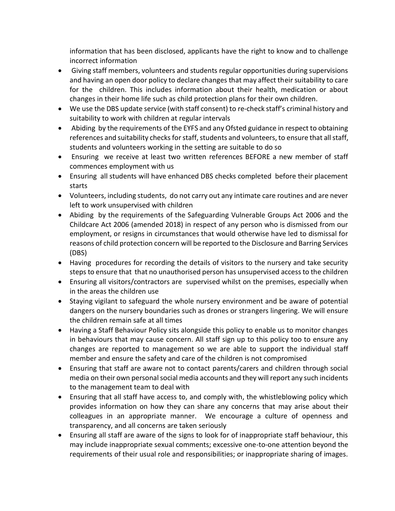information that has been disclosed, applicants have the right to know and to challenge incorrect information

- Giving staff members, volunteers and students regular opportunities during supervisions and having an open door policy to declare changes that may affect their suitability to care for the children. This includes information about their health, medication or about changes in their home life such as child protection plans for their own children.
- We use the DBS update service (with staff consent) to re-check staff's criminal history and suitability to work with children at regular intervals
- Abiding by the requirements of the EYFS and any Ofsted guidance in respect to obtaining references and suitability checks for staff, students and volunteers, to ensure that all staff, students and volunteers working in the setting are suitable to do so
- Ensuring we receive at least two written references BEFORE a new member of staff commences employment with us
- Ensuring all students will have enhanced DBS checks completed before their placement starts
- Volunteers, including students, do not carry out any intimate care routines and are never left to work unsupervised with children
- Abiding by the requirements of the Safeguarding Vulnerable Groups Act 2006 and the Childcare Act 2006 (amended 2018) in respect of any person who is dismissed from our employment, or resigns in circumstances that would otherwise have led to dismissal for reasons of child protection concern will be reported to the Disclosure and Barring Services (DBS)
- Having procedures for recording the details of visitors to the nursery and take security steps to ensure that that no unauthorised person has unsupervised access to the children
- Ensuring all visitors/contractors are supervised whilst on the premises, especially when in the areas the children use
- Staying vigilant to safeguard the whole nursery environment and be aware of potential dangers on the nursery boundaries such as drones or strangers lingering. We will ensure the children remain safe at all times
- Having a Staff Behaviour Policy sits alongside this policy to enable us to monitor changes in behaviours that may cause concern. All staff sign up to this policy too to ensure any changes are reported to management so we are able to support the individual staff member and ensure the safety and care of the children is not compromised
- Ensuring that staff are aware not to contact parents/carers and children through social media on their own personal social media accounts and they will report any such incidents to the management team to deal with
- Ensuring that all staff have access to, and comply with, the whistleblowing policy which provides information on how they can share any concerns that may arise about their colleagues in an appropriate manner. We encourage a culture of openness and transparency, and all concerns are taken seriously
- Ensuring all staff are aware of the signs to look for of inappropriate staff behaviour, this may include inappropriate sexual comments; excessive one-to-one attention beyond the requirements of their usual role and responsibilities; or inappropriate sharing of images.